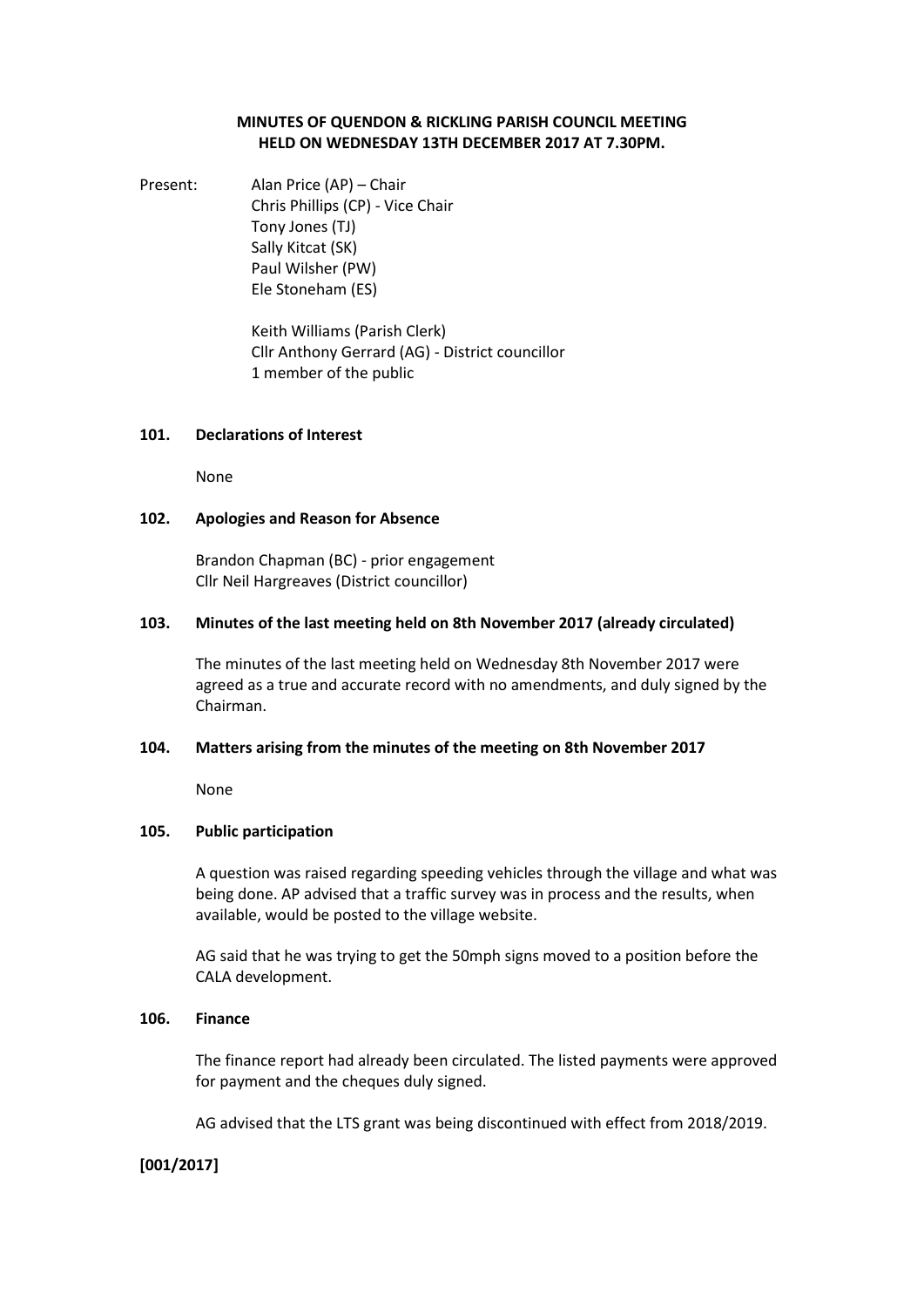## **MINUTES OF QUENDON & RICKLING PARISH COUNCIL MEETING HELD ON WEDNESDAY 13TH DECEMBER 2017 AT 7.30PM.**

Present: Alan Price (AP) – Chair Chris Phillips (CP) - Vice Chair Tony Jones (TJ) Sally Kitcat (SK) Paul Wilsher (PW) Ele Stoneham (ES)

> Keith Williams (Parish Clerk) Cllr Anthony Gerrard (AG) - District councillor 1 member of the public

#### **101. Declarations of Interest**

None

## **102. Apologies and Reason for Absence**

Brandon Chapman (BC) - prior engagement Cllr Neil Hargreaves (District councillor)

### **103. Minutes of the last meeting held on 8th November 2017 (already circulated)**

The minutes of the last meeting held on Wednesday 8th November 2017 were agreed as a true and accurate record with no amendments, and duly signed by the Chairman.

## **104. Matters arising from the minutes of the meeting on 8th November 2017**

None

## **105. Public participation**

A question was raised regarding speeding vehicles through the village and what was being done. AP advised that a traffic survey was in process and the results, when available, would be posted to the village website.

AG said that he was trying to get the 50mph signs moved to a position before the CALA development.

#### **106. Finance**

The finance report had already been circulated. The listed payments were approved for payment and the cheques duly signed.

AG advised that the LTS grant was being discontinued with effect from 2018/2019.

## **[001/2017]**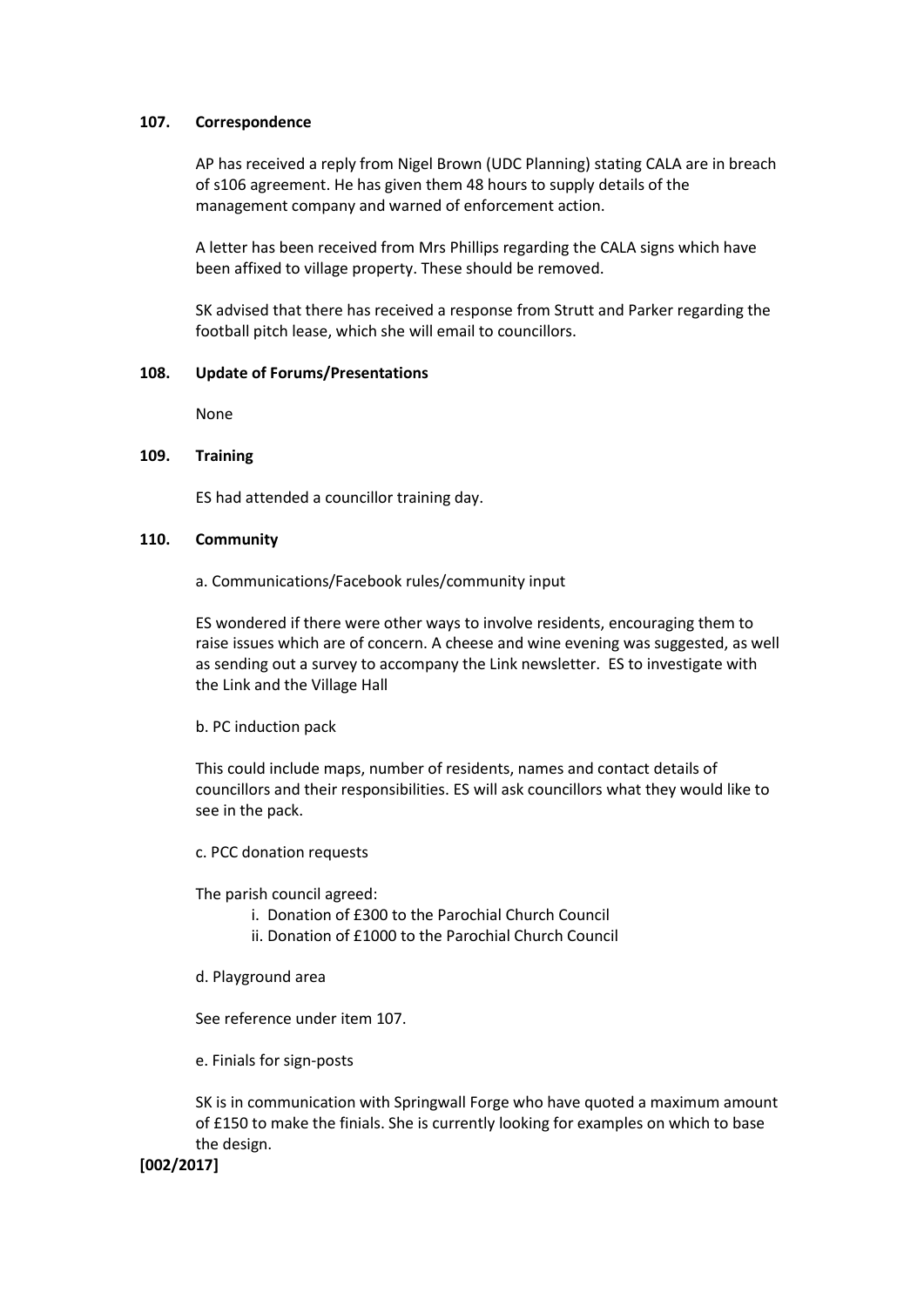## **107. Correspondence**

AP has received a reply from Nigel Brown (UDC Planning) stating CALA are in breach of s106 agreement. He has given them 48 hours to supply details of the management company and warned of enforcement action.

A letter has been received from Mrs Phillips regarding the CALA signs which have been affixed to village property. These should be removed.

SK advised that there has received a response from Strutt and Parker regarding the football pitch lease, which she will email to councillors.

### **108. Update of Forums/Presentations**

None

### **109. Training**

ES had attended a councillor training day.

### **110. Community**

a. Communications/Facebook rules/community input

ES wondered if there were other ways to involve residents, encouraging them to raise issues which are of concern. A cheese and wine evening was suggested, as well as sending out a survey to accompany the Link newsletter. ES to investigate with the Link and the Village Hall

b. PC induction pack

This could include maps, number of residents, names and contact details of councillors and their responsibilities. ES will ask councillors what they would like to see in the pack.

c. PCC donation requests

The parish council agreed:

- i. Donation of £300 to the Parochial Church Council
- ii. Donation of £1000 to the Parochial Church Council
- d. Playground area

See reference under item 107.

e. Finials for sign-posts

SK is in communication with Springwall Forge who have quoted a maximum amount of £150 to make the finials. She is currently looking for examples on which to base the design.

**[002/2017]**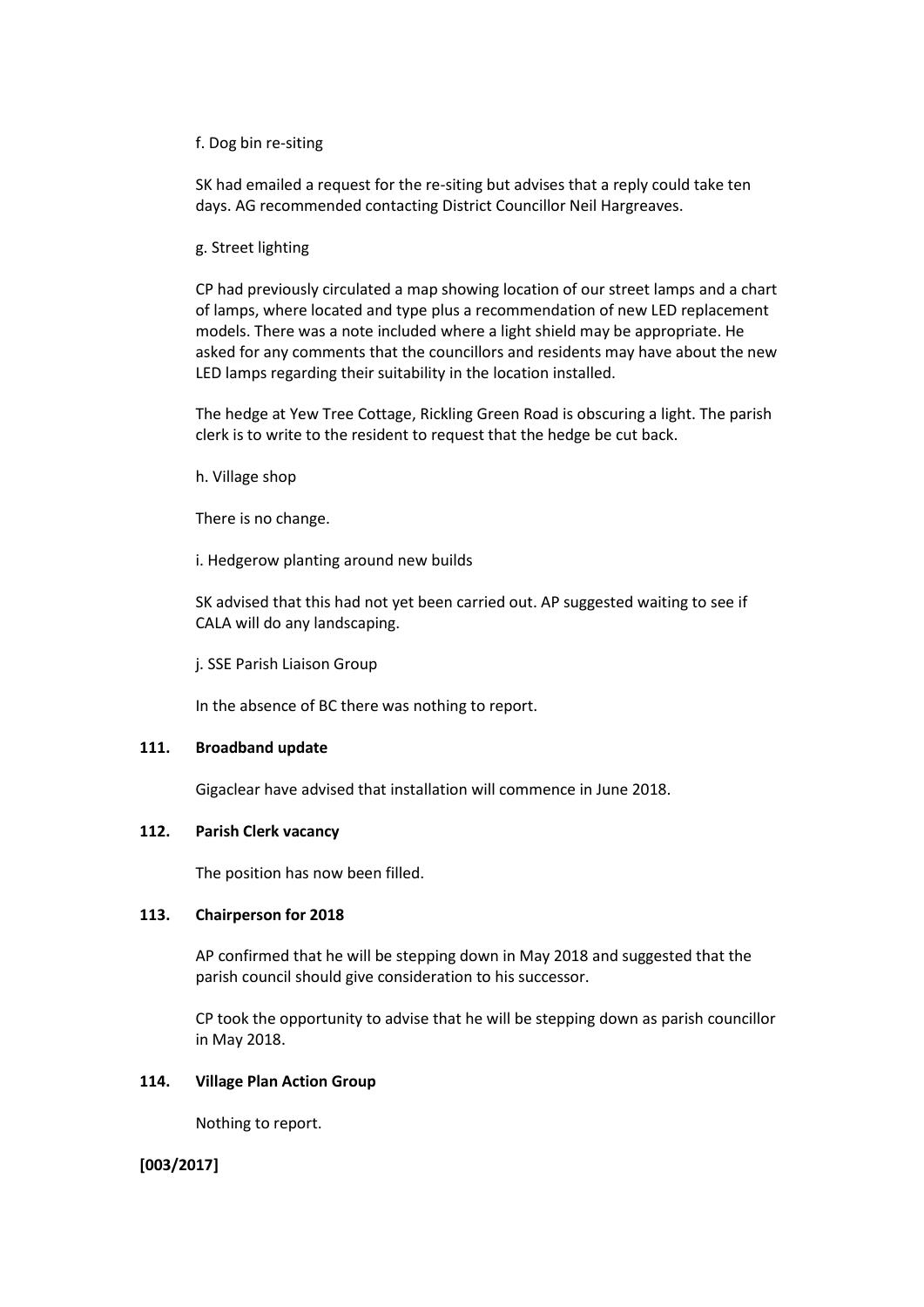### f. Dog bin re-siting

SK had emailed a request for the re-siting but advises that a reply could take ten days. AG recommended contacting District Councillor Neil Hargreaves.

g. Street lighting

CP had previously circulated a map showing location of our street lamps and a chart of lamps, where located and type plus a recommendation of new LED replacement models. There was a note included where a light shield may be appropriate. He asked for any comments that the councillors and residents may have about the new LED lamps regarding their suitability in the location installed.

The hedge at Yew Tree Cottage, Rickling Green Road is obscuring a light. The parish clerk is to write to the resident to request that the hedge be cut back.

h. Village shop

There is no change.

i. Hedgerow planting around new builds

SK advised that this had not yet been carried out. AP suggested waiting to see if CALA will do any landscaping.

j. SSE Parish Liaison Group

In the absence of BC there was nothing to report.

#### **111. Broadband update**

Gigaclear have advised that installation will commence in June 2018.

## **112. Parish Clerk vacancy**

The position has now been filled.

#### **113. Chairperson for 2018**

AP confirmed that he will be stepping down in May 2018 and suggested that the parish council should give consideration to his successor.

CP took the opportunity to advise that he will be stepping down as parish councillor in May 2018.

# **114. Village Plan Action Group**

Nothing to report.

## **[003/2017]**